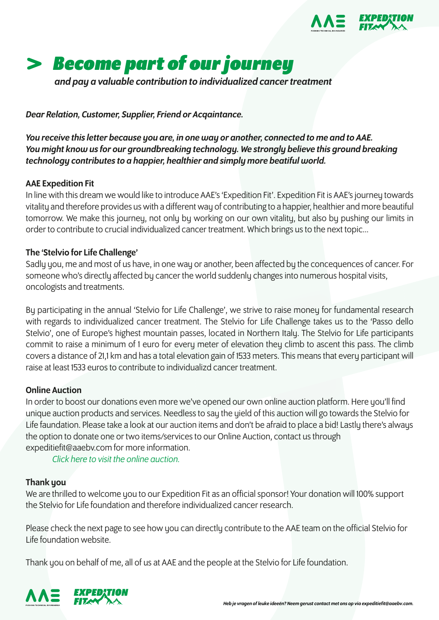



*and pay a valuable contribution to individualized cancer treatment*

*Dear Relation, Customer, Supplier, Friend or Acqaintance.*

*You receive this letter because you are, in one way or another, connected to me and to AAE. You might know us for our groundbreaking technology. We strongly believe this ground breaking technology contributes to a happier, healthier and simply more beatiful world.* 

# AAE Expedition Fit

In line with this dream we would like to introduce AAE's 'Expedition Fit'. Expedition Fit is AAE's journey towards vitality and therefore provides us with a different way of contributing to a happier, healthier and more beautiful tomorrow. We make this journey, not only by working on our own vitality, but also by pushing our limits in order to contribute to crucial individualized cancer treatment. Which brings us to the next topic...

# The 'Stelvio for Life Challenge'

Sadly you, me and most of us have, in one way or another, been affected by the concequences of cancer. For someone who's directly affected by cancer the world suddenly changes into numerous hospital visits, oncologists and treatments.

By participating in the annual 'Stelvio for Life Challenge', we strive to raise money for fundamental research with regards to individualized cancer treatment. The Stelvio for Life Challenge takes us to the 'Passo dello Stelvio', one of Europe's highest mountain passes, located in Northern Italy. The Stelvio for Life participants commit to raise a minimum of 1 euro for every meter of elevation they climb to ascent this pass. The climb covers a distance of 21,1 km and has a total elevation gain of 1533 meters. This means that every participant will raise at least 1533 euros to contribute to individualizd cancer treatment.

### Online Auction

In order to boost our donations even more we've opened our own online auction platform. Here you'll find unique auction products and services. Needless to say the yield of this auction will go towards the Stelvio for Life faundation. Please take a look at our auction items and don't be afraid to place a bid! Lastly there's always the option to donate one or two items/services to our Online Auction, contact us through expeditiefit@aaebv.com for more information.

*Click here to visit the online auction.*

# Thank you

We are thrilled to welcome you to our Expedition Fit as an official sponsor! Your donation will 100% support the Stelvio for Life foundation and therefore individualized cancer research.

Please check the next page to see how you can directly contribute to the AAE team on the official Stelvio for Life foundation website.

Thank you on behalf of me, all of us at AAE and the people at the Stelvio for Life foundation.